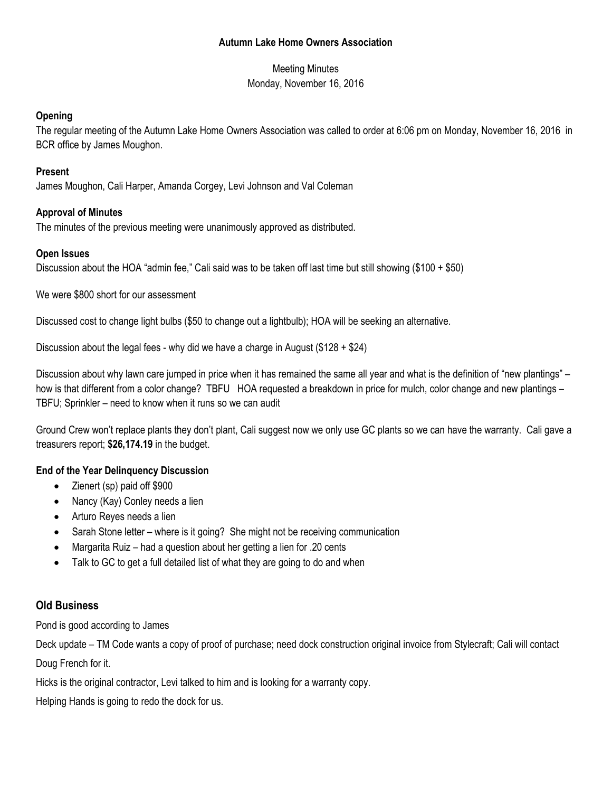#### **Autumn Lake Home Owners Association**

Meeting Minutes Monday, November 16, 2016

### **Opening**

The regular meeting of the Autumn Lake Home Owners Association was called to order at 6:06 pm on Monday, November 16, 2016 in BCR office by James Moughon.

## **Present**

James Moughon, Cali Harper, Amanda Corgey, Levi Johnson and Val Coleman

## **Approval of Minutes**

The minutes of the previous meeting were unanimously approved as distributed.

### **Open Issues**

Discussion about the HOA "admin fee," Cali said was to be taken off last time but still showing (\$100 + \$50)

We were \$800 short for our assessment

Discussed cost to change light bulbs (\$50 to change out a lightbulb); HOA will be seeking an alternative.

Discussion about the legal fees - why did we have a charge in August (\$128 + \$24)

Discussion about why lawn care jumped in price when it has remained the same all year and what is the definition of "new plantings" – how is that different from a color change? TBFU HOA requested a breakdown in price for mulch, color change and new plantings – TBFU; Sprinkler – need to know when it runs so we can audit

Ground Crew won't replace plants they don't plant, Cali suggest now we only use GC plants so we can have the warranty. Cali gave a treasurers report; **\$26,174.19** in the budget.

# **End of the Year Delinquency Discussion**

- Zienert (sp) paid off \$900
- Nancy (Kay) Conley needs a lien
- Arturo Reyes needs a lien
- Sarah Stone letter where is it going? She might not be receiving communication
- Margarita Ruiz had a question about her getting a lien for .20 cents
- Talk to GC to get a full detailed list of what they are going to do and when

# **Old Business**

Pond is good according to James

Deck update – TM Code wants a copy of proof of purchase; need dock construction original invoice from Stylecraft; Cali will contact

Doug French for it.

Hicks is the original contractor, Levi talked to him and is looking for a warranty copy.

Helping Hands is going to redo the dock for us.